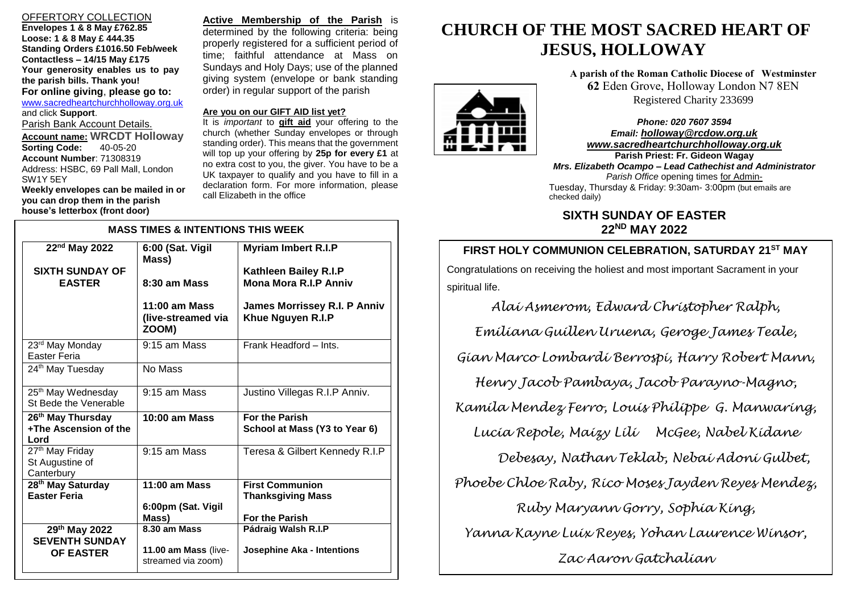# OFFERTORY COLLECTION

**Envelopes 1 & 8 May £762.85 Loose: 1 & 8 May £ 444.35 Standing Orders £1016.50 Feb/week Contactless – 14/15 May £175 Your generosity enables us to pay the parish bills. Thank you! For online giving**, **please go to:** [www.sacredheartchurchholloway.org.uk](http://www.sacredheartchurchholloway.org.uk/) and click **Support**. Parish Bank Account Details. **Account name: WRCDT Holloway Sorting Code: Account Number**: 71308319 Address: HSBC, 69 Pall Mall, London SW1Y 5EY **Weekly envelopes can be mailed in or you can drop them in the parish house's letterbox (front door)**

I

**Active Membership of the Parish** is determined by the following criteria: being properly registered for a sufficient period of time; faithful attendance at Mass on Sundays and Holy Days; use of the planned giving system (envelope or bank standing order) in regular support of the parish

## **Are you on our GIFT AID list yet?**

It is *important* to **gift aid** your offering to the church (whether Sunday envelopes or through standing order). This means that the government will top up your offering by **25p for every £1** at no extra cost to you, the giver. You have to be a UK taxpayer to qualify and you have to fill in a declaration form. For more information, please call Elizabeth in the office

| <b>MASS TIMES &amp; INTENTIONS THIS WEEK</b>                   |                                                |                                                          |
|----------------------------------------------------------------|------------------------------------------------|----------------------------------------------------------|
| $22nd$ May 2022                                                | 6:00 (Sat. Vigil<br>Mass)                      | <b>Myriam Imbert R.I.P</b>                               |
| <b>SIXTH SUNDAY OF</b>                                         |                                                | Kathleen Bailey R.I.P                                    |
| <b>EASTER</b>                                                  | 8:30 am Mass                                   | <b>Mona Mora R.I.P Anniv</b>                             |
|                                                                | $11:00$ am Mass<br>(live-streamed via<br>ZOOM) | <b>James Morrissey R.I. P Anniv</b><br>Khue Nguyen R.I.P |
| 23rd May Monday<br>Easter Feria                                | 9:15 am Mass                                   | Frank Headford - Ints.                                   |
| 24 <sup>th</sup> May Tuesday                                   | No Mass                                        |                                                          |
| 25 <sup>th</sup> May Wednesday<br>St Bede the Venerable        | $9:15$ am Mass                                 | Justino Villegas R.I.P Anniv.                            |
| 26 <sup>th</sup> May Thursday<br>+The Ascension of the<br>Lord | $10:00$ am Mass                                | <b>For the Parish</b><br>School at Mass (Y3 to Year 6)   |
| 27 <sup>th</sup> May Friday<br>St Augustine of<br>Canterbury   | $9:15$ am Mass                                 | Teresa & Gilbert Kennedy R.I.P                           |
| 28 <sup>th</sup> May Saturday                                  | $\overline{11}$ :00 am Mass                    | <b>First Communion</b>                                   |
| <b>Easter Feria</b>                                            | 6:00pm (Sat. Vigil                             | <b>Thanksgiving Mass</b>                                 |
|                                                                | Mass)                                          | <b>For the Parish</b>                                    |
| 29th May 2022                                                  | 8.30 am Mass                                   | Pádraig Walsh R.I.P                                      |
| <b>SEVENTH SUNDAY</b><br><b>OF EASTER</b>                      | 11.00 am Mass (live-<br>streamed via zoom)     | Josephine Aka - Intentions                               |

# **CHURCH OF THE MOST SACRED HEART OF JESUS, HOLLOWAY**

**A parish of the Roman Catholic Diocese of Westminster 62** Eden Grove, Holloway London N7 8EN Registered Charity 233699

 Tuesday, Thursday & Friday: 9:30am- 3:00pm (but emails are *Phone: 020 7607 3594 Email: [holloway@rcdow.org.uk](mailto:holloway@rcdow.org.uk) www.sacredheartchurchholloway.org.uk* **Parish Priest: Fr. Gideon Wagay** *Mrs. Elizabeth Ocampo – Lead Cathechist and Administrator Parish Office* opening times for Adminchecked daily)

# **SIXTH SUNDAY OF EASTER 22ND MAY 2022**

# **FIRST HOLY COMMUNION CELEBRATION, SATURDAY 21ST MAY TH March 2022** Congratulations on receiving the holiest and most important Sacrament in your spiritual life.

*Alai Asmerom, Edward Christopher Ralph,* 

*Emiliana Guillen Uruena, Geroge James Teale, Gian Marco Lombardi Berrospi, Harry Robert Mann, Henry Jacob Pambaya, Jacob Parayno-Magno, Kamila Mendez Ferro, Louis Philippe G. Manwaring, Lucia Repole, Maizy Lili McGee, Nabel Kidane Debesay, Nathan Teklab, Nebai Adoni Gulbet, Phoebe Chloe Raby, Rico Moses Jayden Reyes Mendez, Ruby Maryann Gorry, Sophia King, Yanna Kayne Luix Reyes, Yohan Laurence Winsor, Zac Aaron Gatchalian*